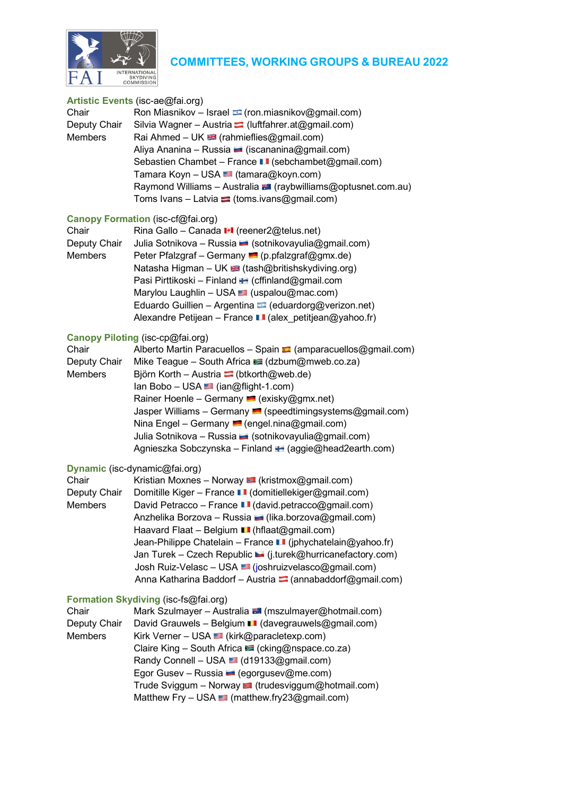

# **COMMITTEES, WORKING GROUPS & BUREAU 2022**

#### **Artistic Events** (isc-ae@fai.org)

| Chair          | Ron Miasnikov - Israel $\blacksquare$ (ron.miasnikov@gmail.com)      |
|----------------|----------------------------------------------------------------------|
| Deputy Chair   | Silvia Wagner – Austria $\blacksquare$ (luftfahrer.at@gmail.com)     |
| <b>Members</b> | Rai Ahmed – UK $\blacksquare$ (rahmieflies@gmail.com)                |
|                | Aliya Ananina – Russia – (iscananina@gmail.com)                      |
|                | Sebastien Chambet – France ■ (sebchambet@gmail.com)                  |
|                | Tamara Koyn – USA ■ (tamara@koyn.com)                                |
|                | Raymond Williams - Australia <b>3</b> (raybwilliams@optusnet.com.au) |
|                | Toms Ivans – Latvia $\blacktriangleright$ (toms.ivans@gmail.com)     |
|                |                                                                      |

# **Canopy Formation** (isc-cf@fai.org)

| Rina Gallo - Canada II (reener2@telus.net)                           |
|----------------------------------------------------------------------|
| Julia Sotnikova - Russia (sotnikovayulia@gmail.com)                  |
| Peter Pfalzgraf – Germany $\blacksquare$ (p.pfalzgraf@gmx.de)        |
| Natasha Higman - UK <a> <a> (tash@britishskydiving.org)</a></a>      |
| Pasi Pirttikoski – Finland ■ (cffinland@gmail.com                    |
| Marylou Laughlin - USA (uspalou@mac.com)                             |
| Eduardo Guillien - Argentina (eduardorg@verizon.net)                 |
| Alexandre Petijean – France $\blacksquare$ (alex petitjean@yahoo.fr) |
|                                                                      |

#### **Canopy Piloting** (isc-cp@fai.org)

| Alberto Martin Paracuellos - Spain $\blacksquare$ (amparacuellos@gmail.com) |
|-----------------------------------------------------------------------------|
| Mike Teague - South Africa $\geq$ (dzbum@mweb.co.za)                        |
| Björn Korth – Austria $\Box$ (btkorth@web.de)                               |
| $lan Bobo - USA$ ( $ian@flight-1.com$ )                                     |
| Rainer Hoenle – Germany $\blacksquare$ (exisky@gmx.net)                     |
| Jasper Williams – Germany $\blacksquare$ (speedtimingsystems@gmail.com)     |
| Nina Engel – Germany $\blacksquare$ (engel.nina@gmail.com)                  |
| Julia Sotnikova – Russia – (sotnikovayulia@gmail.com)                       |
| Agnieszka Sobczynska – Finland E (aggie@head2earth.com)                     |
|                                                                             |

#### **Dynamic** (isc-dynamic@fai.org)

| Chair        | Kristian Moxnes - Norway $\blacksquare$ (kristmox@gmail.com)        |
|--------------|---------------------------------------------------------------------|
| Deputy Chair | Domitille Kiger – France $\blacksquare$ (domitiellekiger@gmail.com) |
| Members      | David Petracco - France LI (david.petracco@gmail.com)               |
|              | Anzhelika Borzova - Russia (lika.borzova@gmail.com)                 |
|              | Haavard Flaat - Belgium LI (hflaat@gmail.com)                       |
|              | Jean-Philippe Chatelain - France LI (jphychatelain@yahoo.fr)        |
|              | Jan Turek - Czech Republic L (j.turek@hurricanefactory.com)         |
|              | Josh Ruiz-Velasc - USA s (joshruizvelasco@gmail.com)                |
|              | Anna Katharina Baddorf - Austria $\Box$ (annabaddorf@gmail.com)     |

# **Formation Skydiving** (isc-fs@fai.org)

| Chair          | Mark Szulmayer - Australia (mszulmayer@hotmail.com)        |
|----------------|------------------------------------------------------------|
| Deputy Chair   | David Grauwels - Belgium ■ (davegrauwels@gmail.com)        |
| <b>Members</b> | Kirk Verner – USA (kirk@paracletexp.com)                   |
|                | Claire King - South Africa C (cking@nspace.co.za)          |
|                | Randy Connell – USA (d19133@gmail.com)                     |
|                | Egor Gusev - Russia (egorgusev@me.com)                     |
|                | Trude Sviggum – Norway ■ (trudesviggum@hotmail.com)        |
|                | Matthew Fry - USA $\blacksquare$ (matthew.fry23@gmail.com) |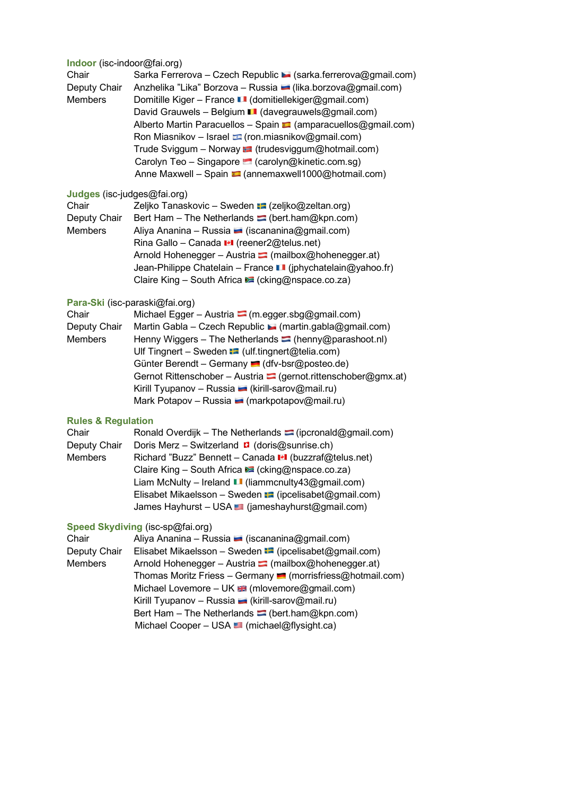# **Indoor** (isc-indoor@fai.org)

| Chair          | Sarka Ferrerova – Czech Republic • (sarka ferrerova@gmail.com)              |
|----------------|-----------------------------------------------------------------------------|
| Deputy Chair   | Anzhelika "Lika" Borzova - Russia (lika.borzova@gmail.com)                  |
| <b>Members</b> | Domitille Kiger – France ■ (domitiellekiger@gmail.com)                      |
|                | David Grauwels - Belgium ■ (davegrauwels@gmail.com)                         |
|                | Alberto Martin Paracuellos - Spain $\blacksquare$ (amparacuellos@gmail.com) |
|                | Ron Miasnikov - Israel $\blacksquare$ (ron.miasnikov@gmail.com)             |
|                | Trude Sviggum - Norway <b>:</b> (trudesviggum@hotmail.com)                  |
|                | Carolyn Teo - Singapore Carolyn@kinetic.com.sg)                             |
|                | Anne Maxwell – Spain ■ (annemaxwell1000@hotmail.com)                        |
|                |                                                                             |

# **Judges** (isc-judges@fai.org)

| Chair          | Zeljko Tanaskovic – Sweden <b>:</b> (zeljko@zeltan.org)          |
|----------------|------------------------------------------------------------------|
| Deputy Chair   | Bert Ham – The Netherlands $\blacksquare$ (bert.ham@kpn.com)     |
| <b>Members</b> | Aliya Ananina – Russia – (iscananina@gmail.com)                  |
|                | Rina Gallo – Canada III (reener2@telus.net)                      |
|                | Arnold Hohenegger - Austria <sup>-</sup> (mailbox@hohenegger.at) |
|                | Jean-Philippe Chatelain - France LI (jphychatelain@yahoo.fr)     |
|                | Claire King - South Africa Cicking@nspace.co.za)                 |

# **Para-Ski** (isc-paraski@fai.org)

| Chair          | Michael Egger - Austria $\blacksquare$ (m.egger.sbg@gmail.com)        |
|----------------|-----------------------------------------------------------------------|
| Deputy Chair   | Martin Gabla – Czech Republic $\blacksquare$ (martin.gabla@gmail.com) |
| <b>Members</b> | Henny Wiggers – The Netherlands $\Box$ (henny@parashoot.nl)           |
|                | Ulf Tingnert – Sweden $\blacksquare$ (ulf.tingnert@telia.com)         |
|                | Günter Berendt – Germany (dfv-bsr@posteo.de)                          |
|                | Gernot Rittenschober - Austria (gernot rittenschober@gmx.at)          |
|                | Kirill Tyupanov - Russia (kirill-sarov@mail.ru)                       |
|                | Mark Potapov – Russia – (markpotapov@mail.ru)                         |
|                |                                                                       |

# **Rules & Regulation**

| Chair        | Ronald Overdijk - The Netherlands <sup>-</sup> (ipcronald@gmail.com) |
|--------------|----------------------------------------------------------------------|
| Deputy Chair | Doris Merz – Switzerland $\blacksquare$ (doris@sunrise.ch)           |
| Members      | Richard "Buzz" Bennett - Canada II (buzzraf@telus.net)               |
|              | Claire King - South Africa C (cking@nspace.co.za)                    |
|              | Liam McNulty – Ireland $\blacksquare$ (liammcnulty 43@gmail.com)     |
|              | Elisabet Mikaelsson - Sweden $\blacksquare$ (ipcelisabet@gmail.com)  |
|              | James Hayhurst - USA (jameshayhurst@gmail.com)                       |
|              |                                                                      |

# **Speed Skydiving** (isc-sp@fai.org)

| Chair          | Aliya Ananina – Russia – (iscananina@gmail.com)                          |
|----------------|--------------------------------------------------------------------------|
| Deputy Chair   | Elisabet Mikaelsson – Sweden $\blacksquare$ (ipcelisabet@gmail.com)      |
| <b>Members</b> | Arnold Hohenegger - Austria $\Box$ (mailbox@hohenegger.at)               |
|                | Thomas Moritz Friess - Germany $\blacksquare$ (morrisfriess@hotmail.com) |
|                | Michael Lovemore - UK <b>66 (mlovemore@gmail.com)</b>                    |
|                | Kirill Tyupanov - Russia (kirill-sarov@mail.ru)                          |
|                | Bert Ham – The Netherlands $\equiv$ (bert.ham@kpn.com)                   |
|                | Michael Cooper - USA (michael@flysight.ca)                               |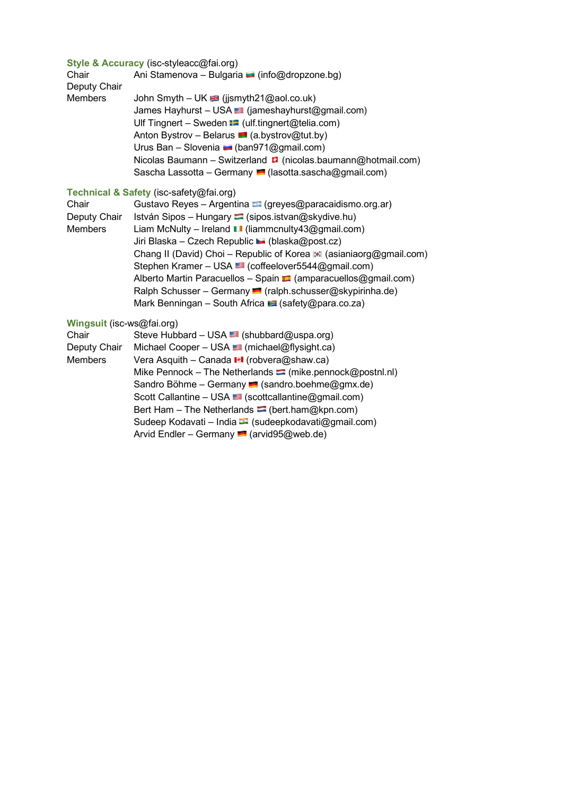# **Style & Accuracy** (isc-styleacc@fai.org)

| Chair        | Ani Stamenova - Bulgaria (info@dropzone.bg)                                |
|--------------|----------------------------------------------------------------------------|
| Deputy Chair |                                                                            |
| Members      | John Smyth – UK $\equiv$ (jjsmyth21@aol.co.uk)                             |
|              | James Hayhurst - USA (jameshayhurst@gmail.com)                             |
|              | Ulf Tingnert - Sweden $\blacksquare$ (ulf.tingnert@telia.com)              |
|              | Anton Bystrov - Belarus $\blacksquare$ (a.bystrov@tut.by)                  |
|              | Urus Ban - Slovenia $\blacksquare$ (ban971@gmail.com)                      |
|              | Nicolas Baumann - Switzerland $\blacksquare$ (nicolas baumann@hotmail.com) |
|              | Sascha Lassotta – Germany $\blacksquare$ (lasotta sascha@gmail.com)        |

# **Technical & Safety** (isc-safety@fai.org)

| Chair        | Gustavo Reyes - Argentina (greyes@paracaidismo.org.ar)                      |
|--------------|-----------------------------------------------------------------------------|
| Deputy Chair | István Sipos – Hungary $\blacksquare$ (sipos.istvan@skydive.hu)             |
| Members      | Liam McNulty – Ireland $\blacksquare$ (liammcnulty 43@gmail.com)            |
|              | Jiri Blaska – Czech Republic $\blacktriangleright$ (blaska@post.cz)         |
|              | Chang II (David) Choi - Republic of Korea (asianiaorg@gmail.com)            |
|              | Stephen Kramer - USA (coffeelover5544@gmail.com)                            |
|              | Alberto Martin Paracuellos - Spain $\blacksquare$ (amparacuellos@gmail.com) |
|              | Ralph Schusser – Germany (ralph.schusser@skypirinha.de)                     |
|              | Mark Benningan - South Africa $\geq$ (safety@para.co.za)                    |
|              |                                                                             |

# **Wingsuit** (isc-ws@fai.org)

| Chair        | Steve Hubbard - USA (shubbard@uspa.org)                          |
|--------------|------------------------------------------------------------------|
| Deputy Chair | Michael Cooper - USA (michael@flysight.ca)                       |
| Members      | Vera Asquith - Canada II (robvera@shaw.ca)                       |
|              | Mike Pennock – The Netherlands $\equiv$ (mike pennock@postnl.nl) |
|              | Sandro Böhme – Germany $\blacksquare$ (sandro.boehme@gmx.de)     |
|              | Scott Callantine - USA <a>[scottcallantine@gmail.com)</a>        |
|              | Bert Ham – The Netherlands $\Box$ (bert.ham@kpn.com)             |
|              | Sudeep Kodavati – India • (sudeepkodavati@gmail.com)             |
|              | Arvid Endler - Germany <b>1</b> (arvid 95@web.de)                |
|              |                                                                  |